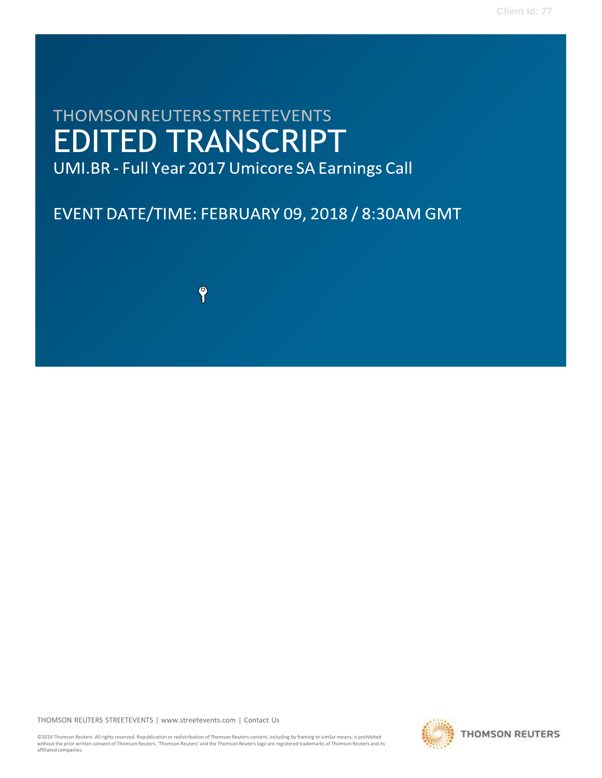# **THOMSON REUTERS STREETEVENTS EDITED TRANSCRIPT**

UMI.BR - Full Year 2017 Umicore SA Earnings Call

## EVENT DATE/TIME: FEBRUARY 09, 2018 / 8:30AM GMT

9

THOMSON REUTERS STREETEVENTS | [www.streetevents.com](http://www.streetevents.com/) | [Contact](http://www010.streetevents.com/contact.asp) Us

©2018 Thomson Reuters. All rights reserved. Republication or redistribution of Thomson Reuters content, including by framing orsimilar means, is prohibited withoutthe prior written consent of Thomson Reuters. 'Thomson Reuters' and the Thomson Reuters logo are registered trademarks of Thomson Reuters and its affiliated companies.

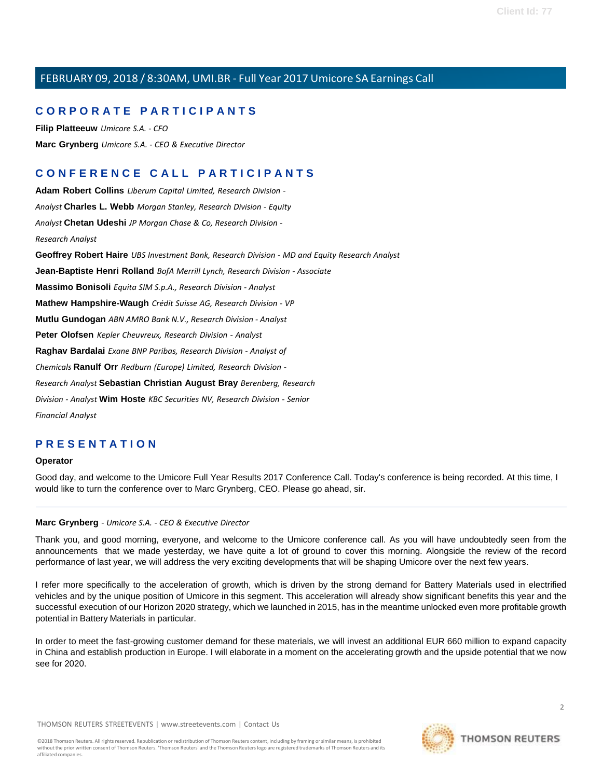## **C O R P O R A T E P A R T I C I P A N T S**

**Filip [Platteeuw](#page-4-0)** *Umicore S.A. - CFO* **Marc [Grynberg](#page-1-0)** *Umicore S.A. - CEO & Executive Director*

## **C O N F E R E N C E C A L L P A R T I C I P A N T S**

**Adam Robert [Collins](#page-14-0)** *Liberum Capital Limited, Research Division - Analyst* **[Charles](#page-9-0) L. Webb** *Morgan Stanley, Research Division - Equity Analyst* **[Chetan](#page-7-0) Udeshi** *JP Morgan Chase & Co, Research Division - Research Analyst* **[Geoffrey](#page-13-0) Robert Haire** *UBS Investment Bank, Research Division - MD and Equity Research Analyst* **[Jean-Baptiste](#page-15-0) Henri Rolland** *BofA Merrill Lynch, Research Division - Associate* **[Massimo](#page-16-0) Bonisoli** *Equita SIM S.p.A., Research Division - Analyst* **Mathew [Hampshire-Waugh](#page-16-1)** *Crédit Suisse AG, Research Division - VP*  **Mutlu [Gundogan](#page-7-1)** *ABN AMRO Bank N.V., Research Division - Analyst* **Peter [Olofsen](#page-8-0)** *Kepler Cheuvreux, Research Division - Analyst* **Raghav [Bardalai](#page-11-0)** *Exane BNP Paribas, Research Division - Analyst of Chemicals* **[Ranulf](#page-12-0) Orr** *Redburn (Europe) Limited, Research Division - Research Analyst* **[Sebastian](#page-11-1) Christian August Bray** *Berenberg, Research Division - Analyst* **Wim [Hoste](#page-6-0)** *KBC Securities NV, Research Division - Senior Financial Analyst*

## **P R E S E N T A T I O N**

#### **Operator**

<span id="page-1-0"></span>Good day, and welcome to the Umicore Full Year Results 2017 Conference Call. Today's conference is being recorded. At this time, I would like to turn the conference over to Marc Grynberg, CEO. Please go ahead, sir.

#### **Marc Grynberg** *- Umicore S.A. - CEO & Executive Director*

Thank you, and good morning, everyone, and welcome to the Umicore conference call. As you will have undoubtedly seen from the announcements that we made yesterday, we have quite a lot of ground to cover this morning. Alongside the review of the record performance of last year, we will address the very exciting developments that will be shaping Umicore over the next few years.

I refer more specifically to the acceleration of growth, which is driven by the strong demand for Battery Materials used in electrified vehicles and by the unique position of Umicore in this segment. This acceleration will already show significant benefits this year and the successful execution of our Horizon 2020 strategy, which we launched in 2015, has in the meantime unlocked even more profitable growth potential in Battery Materials in particular.

In order to meet the fast-growing customer demand for these materials, we will invest an additional EUR 660 million to expand capacity in China and establish production in Europe. I will elaborate in a moment on the accelerating growth and the upside potential that we now see for 2020.

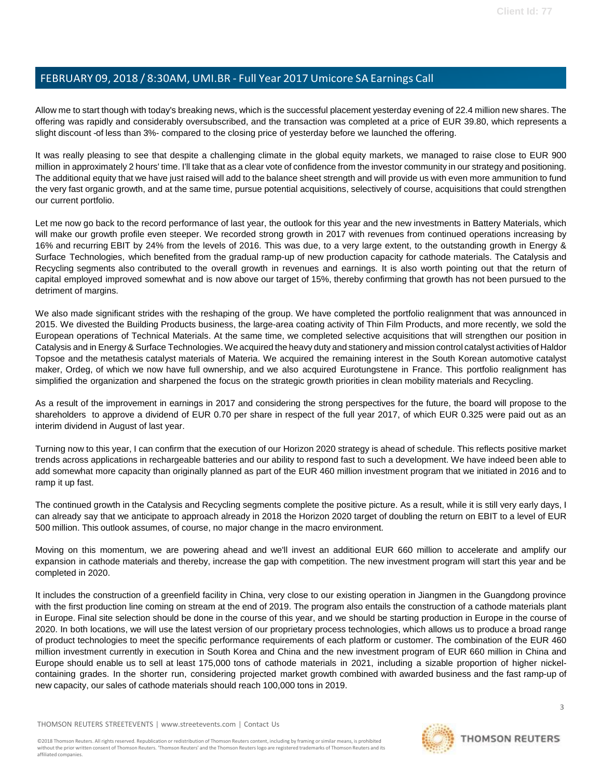Allow me to start though with today's breaking news, which is the successful placement yesterday evening of 22.4 million new shares. The offering was rapidly and considerably oversubscribed, and the transaction was completed at a price of EUR 39.80, which represents a slight discount -of less than 3%- compared to the closing price of yesterday before we launched the offering.

It was really pleasing to see that despite a challenging climate in the global equity markets, we managed to raise close to EUR 900 million in approximately 2 hours' time. I'll take that as a clear vote of confidence from the investor community in our strategy and positioning. The additional equity that we have just raised will add to the balance sheet strength and will provide us with even more ammunition to fund the very fast organic growth, and at the same time, pursue potential acquisitions, selectively of course, acquisitions that could strengthen our current portfolio.

Let me now go back to the record performance of last year, the outlook for this year and the new investments in Battery Materials, which will make our growth profile even steeper. We recorded strong growth in 2017 with revenues from continued operations increasing by 16% and recurring EBIT by 24% from the levels of 2016. This was due, to a very large extent, to the outstanding growth in Energy & Surface Technologies, which benefited from the gradual ramp-up of new production capacity for cathode materials. The Catalysis and Recycling segments also contributed to the overall growth in revenues and earnings. It is also worth pointing out that the return of capital employed improved somewhat and is now above our target of 15%, thereby confirming that growth has not been pursued to the detriment of margins.

We also made significant strides with the reshaping of the group. We have completed the portfolio realignment that was announced in 2015. We divested the Building Products business, the large-area coating activity of Thin Film Products, and more recently, we sold the European operations of Technical Materials. At the same time, we completed selective acquisitions that will strengthen our position in Catalysis and in Energy & Surface Technologies. We acquired the heavy duty and stationery and mission control catalyst activities of Haldor Topsoe and the metathesis catalyst materials of Materia. We acquired the remaining interest in the South Korean automotive catalyst maker, Ordeg, of which we now have full ownership, and we also acquired Eurotungstene in France. This portfolio realignment has simplified the organization and sharpened the focus on the strategic growth priorities in clean mobility materials and Recycling.

As a result of the improvement in earnings in 2017 and considering the strong perspectives for the future, the board will propose to the shareholders to approve a dividend of EUR 0.70 per share in respect of the full year 2017, of which EUR 0.325 were paid out as an interim dividend in August of last year.

Turning now to this year, I can confirm that the execution of our Horizon 2020 strategy is ahead of schedule. This reflects positive market trends across applications in rechargeable batteries and our ability to respond fast to such a development. We have indeed been able to add somewhat more capacity than originally planned as part of the EUR 460 million investment program that we initiated in 2016 and to ramp it up fast.

The continued growth in the Catalysis and Recycling segments complete the positive picture. As a result, while it is still very early days, I can already say that we anticipate to approach already in 2018 the Horizon 2020 target of doubling the return on EBIT to a level of EUR 500 million. This outlook assumes, of course, no major change in the macro environment.

Moving on this momentum, we are powering ahead and we'll invest an additional EUR 660 million to accelerate and amplify our expansion in cathode materials and thereby, increase the gap with competition. The new investment program will start this year and be completed in 2020.

It includes the construction of a greenfield facility in China, very close to our existing operation in Jiangmen in the Guangdong province with the first production line coming on stream at the end of 2019. The program also entails the construction of a cathode materials plant in Europe. Final site selection should be done in the course of this year, and we should be starting production in Europe in the course of 2020. In both locations, we will use the latest version of our proprietary process technologies, which allows us to produce a broad range of product technologies to meet the specific performance requirements of each platform or customer. The combination of the EUR 460 million investment currently in execution in South Korea and China and the new investment program of EUR 660 million in China and Europe should enable us to sell at least 175,000 tons of cathode materials in 2021, including a sizable proportion of higher nickelcontaining grades. In the shorter run, considering projected market growth combined with awarded business and the fast ramp-up of new capacity, our sales of cathode materials should reach 100,000 tons in 2019.

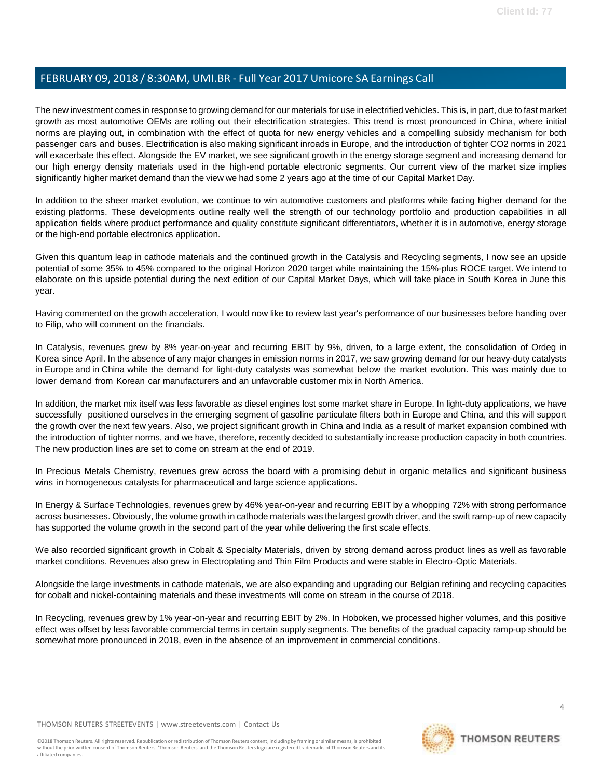The new investment comes in response to growing demand for our materials for use in electrified vehicles. This is, in part, due to fast market growth as most automotive OEMs are rolling out their electrification strategies. This trend is most pronounced in China, where initial norms are playing out, in combination with the effect of quota for new energy vehicles and a compelling subsidy mechanism for both passenger cars and buses. Electrification is also making significant inroads in Europe, and the introduction of tighter CO2 norms in 2021 will exacerbate this effect. Alongside the EV market, we see significant growth in the energy storage segment and increasing demand for our high energy density materials used in the high-end portable electronic segments. Our current view of the market size implies significantly higher market demand than the view we had some 2 years ago at the time of our Capital Market Day.

In addition to the sheer market evolution, we continue to win automotive customers and platforms while facing higher demand for the existing platforms. These developments outline really well the strength of our technology portfolio and production capabilities in all application fields where product performance and quality constitute significant differentiators, whether it is in automotive, energy storage or the high-end portable electronics application.

Given this quantum leap in cathode materials and the continued growth in the Catalysis and Recycling segments, I now see an upside potential of some 35% to 45% compared to the original Horizon 2020 target while maintaining the 15%-plus ROCE target. We intend to elaborate on this upside potential during the next edition of our Capital Market Days, which will take place in South Korea in June this year.

Having commented on the growth acceleration, I would now like to review last year's performance of our businesses before handing over to Filip, who will comment on the financials.

In Catalysis, revenues grew by 8% year-on-year and recurring EBIT by 9%, driven, to a large extent, the consolidation of Ordeg in Korea since April. In the absence of any major changes in emission norms in 2017, we saw growing demand for our heavy-duty catalysts in Europe and in China while the demand for light-duty catalysts was somewhat below the market evolution. This was mainly due to lower demand from Korean car manufacturers and an unfavorable customer mix in North America.

In addition, the market mix itself was less favorable as diesel engines lost some market share in Europe. In light-duty applications, we have successfully positioned ourselves in the emerging segment of gasoline particulate filters both in Europe and China, and this will support the growth over the next few years. Also, we project significant growth in China and India as a result of market expansion combined with the introduction of tighter norms, and we have, therefore, recently decided to substantially increase production capacity in both countries. The new production lines are set to come on stream at the end of 2019.

In Precious Metals Chemistry, revenues grew across the board with a promising debut in organic metallics and significant business wins in homogeneous catalysts for pharmaceutical and large science applications.

In Energy & Surface Technologies, revenues grew by 46% year-on-year and recurring EBIT by a whopping 72% with strong performance across businesses. Obviously, the volume growth in cathode materials was the largest growth driver, and the swift ramp-up of new capacity has supported the volume growth in the second part of the year while delivering the first scale effects.

We also recorded significant growth in Cobalt & Specialty Materials, driven by strong demand across product lines as well as favorable market conditions. Revenues also grew in Electroplating and Thin Film Products and were stable in Electro-Optic Materials.

Alongside the large investments in cathode materials, we are also expanding and upgrading our Belgian refining and recycling capacities for cobalt and nickel-containing materials and these investments will come on stream in the course of 2018.

In Recycling, revenues grew by 1% year-on-year and recurring EBIT by 2%. In Hoboken, we processed higher volumes, and this positive effect was offset by less favorable commercial terms in certain supply segments. The benefits of the gradual capacity ramp-up should be somewhat more pronounced in 2018, even in the absence of an improvement in commercial conditions.

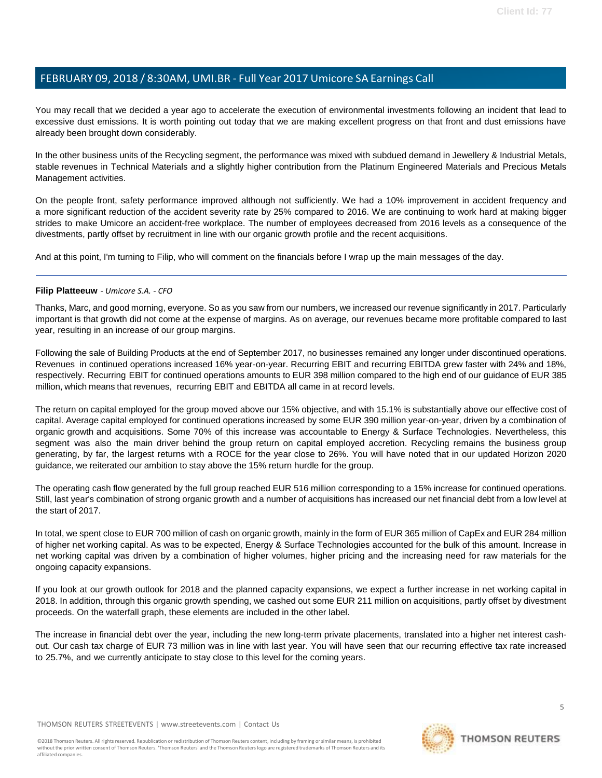You may recall that we decided a year ago to accelerate the execution of environmental investments following an incident that lead to excessive dust emissions. It is worth pointing out today that we are making excellent progress on that front and dust emissions have already been brought down considerably.

In the other business units of the Recycling segment, the performance was mixed with subdued demand in Jewellery & Industrial Metals, stable revenues in Technical Materials and a slightly higher contribution from the Platinum Engineered Materials and Precious Metals Management activities.

On the people front, safety performance improved although not sufficiently. We had a 10% improvement in accident frequency and a more significant reduction of the accident severity rate by 25% compared to 2016. We are continuing to work hard at making bigger strides to make Umicore an accident-free workplace. The number of employees decreased from 2016 levels as a consequence of the divestments, partly offset by recruitment in line with our organic growth profile and the recent acquisitions.

<span id="page-4-0"></span>And at this point, I'm turning to Filip, who will comment on the financials before I wrap up the main messages of the day.

#### **Filip Platteeuw** *- Umicore S.A. - CFO*

Thanks, Marc, and good morning, everyone. So as you saw from our numbers, we increased our revenue significantly in 2017. Particularly important is that growth did not come at the expense of margins. As on average, our revenues became more profitable compared to last year, resulting in an increase of our group margins.

Following the sale of Building Products at the end of September 2017, no businesses remained any longer under discontinued operations. Revenues in continued operations increased 16% year-on-year. Recurring EBIT and recurring EBITDA grew faster with 24% and 18%, respectively. Recurring EBIT for continued operations amounts to EUR 398 million compared to the high end of our guidance of EUR 385 million, which means that revenues, recurring EBIT and EBITDA all came in at record levels.

The return on capital employed for the group moved above our 15% objective, and with 15.1% is substantially above our effective cost of capital. Average capital employed for continued operations increased by some EUR 390 million year-on-year, driven by a combination of organic growth and acquisitions. Some 70% of this increase was accountable to Energy & Surface Technologies. Nevertheless, this segment was also the main driver behind the group return on capital employed accretion. Recycling remains the business group generating, by far, the largest returns with a ROCE for the year close to 26%. You will have noted that in our updated Horizon 2020 guidance, we reiterated our ambition to stay above the 15% return hurdle for the group.

The operating cash flow generated by the full group reached EUR 516 million corresponding to a 15% increase for continued operations. Still, last year's combination of strong organic growth and a number of acquisitions has increased our net financial debt from a low level at the start of 2017.

In total, we spent close to EUR 700 million of cash on organic growth, mainly in the form of EUR 365 million of CapEx and EUR 284 million of higher net working capital. As was to be expected, Energy & Surface Technologies accounted for the bulk of this amount. Increase in net working capital was driven by a combination of higher volumes, higher pricing and the increasing need for raw materials for the ongoing capacity expansions.

If you look at our growth outlook for 2018 and the planned capacity expansions, we expect a further increase in net working capital in 2018. In addition, through this organic growth spending, we cashed out some EUR 211 million on acquisitions, partly offset by divestment proceeds. On the waterfall graph, these elements are included in the other label.

The increase in financial debt over the year, including the new long-term private placements, translated into a higher net interest cashout. Our cash tax charge of EUR 73 million was in line with last year. You will have seen that our recurring effective tax rate increased to 25.7%, and we currently anticipate to stay close to this level for the coming years.

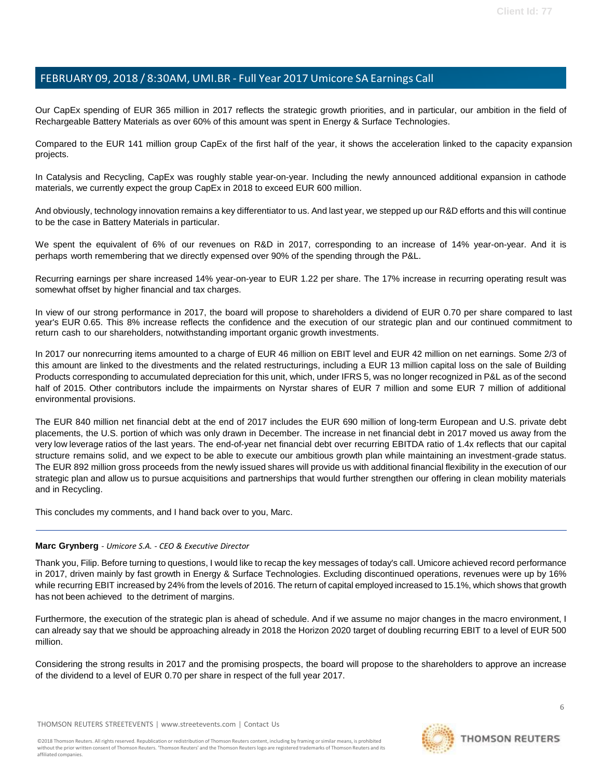Our CapEx spending of EUR 365 million in 2017 reflects the strategic growth priorities, and in particular, our ambition in the field of Rechargeable Battery Materials as over 60% of this amount was spent in Energy & Surface Technologies.

Compared to the EUR 141 million group CapEx of the first half of the year, it shows the acceleration linked to the capacity expansion projects.

In Catalysis and Recycling, CapEx was roughly stable year-on-year. Including the newly announced additional expansion in cathode materials, we currently expect the group CapEx in 2018 to exceed EUR 600 million.

And obviously, technology innovation remains a key differentiator to us. And last year, we stepped up our R&D efforts and this will continue to be the case in Battery Materials in particular.

We spent the equivalent of 6% of our revenues on R&D in 2017, corresponding to an increase of 14% year-on-year. And it is perhaps worth remembering that we directly expensed over 90% of the spending through the P&L.

Recurring earnings per share increased 14% year-on-year to EUR 1.22 per share. The 17% increase in recurring operating result was somewhat offset by higher financial and tax charges.

In view of our strong performance in 2017, the board will propose to shareholders a dividend of EUR 0.70 per share compared to last year's EUR 0.65. This 8% increase reflects the confidence and the execution of our strategic plan and our continued commitment to return cash to our shareholders, notwithstanding important organic growth investments.

In 2017 our nonrecurring items amounted to a charge of EUR 46 million on EBIT level and EUR 42 million on net earnings. Some 2/3 of this amount are linked to the divestments and the related restructurings, including a EUR 13 million capital loss on the sale of Building Products corresponding to accumulated depreciation for this unit, which, under IFRS 5, was no longer recognized in P&L as of the second half of 2015. Other contributors include the impairments on Nyrstar shares of EUR 7 million and some EUR 7 million of additional environmental provisions.

The EUR 840 million net financial debt at the end of 2017 includes the EUR 690 million of long-term European and U.S. private debt placements, the U.S. portion of which was only drawn in December. The increase in net financial debt in 2017 moved us away from the very low leverage ratios of the last years. The end-of-year net financial debt over recurring EBITDA ratio of 1.4x reflects that our capital structure remains solid, and we expect to be able to execute our ambitious growth plan while maintaining an investment-grade status. The EUR 892 million gross proceeds from the newly issued shares will provide us with additional financial flexibility in the execution of our strategic plan and allow us to pursue acquisitions and partnerships that would further strengthen our offering in clean mobility materials and in Recycling.

This concludes my comments, and I hand back over to you, Marc.

#### **Marc Grynberg** *- Umicore S.A. - CEO & Executive Director*

Thank you, Filip. Before turning to questions, I would like to recap the key messages of today's call. Umicore achieved record performance in 2017, driven mainly by fast growth in Energy & Surface Technologies. Excluding discontinued operations, revenues were up by 16% while recurring EBIT increased by 24% from the levels of 2016. The return of capital employed increased to 15.1%, which shows that growth has not been achieved to the detriment of margins.

Furthermore, the execution of the strategic plan is ahead of schedule. And if we assume no major changes in the macro environment, I can already say that we should be approaching already in 2018 the Horizon 2020 target of doubling recurring EBIT to a level of EUR 500 million.

Considering the strong results in 2017 and the promising prospects, the board will propose to the shareholders to approve an increase of the dividend to a level of EUR 0.70 per share in respect of the full year 2017.

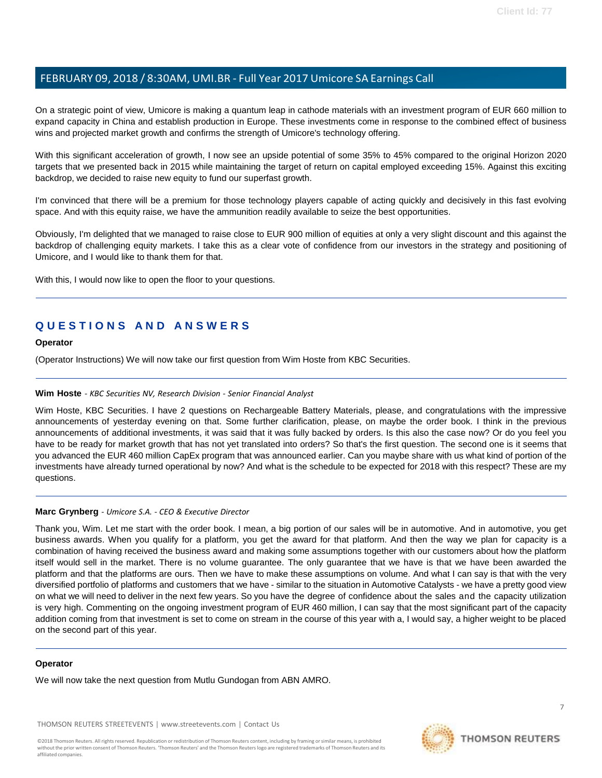On a strategic point of view, Umicore is making a quantum leap in cathode materials with an investment program of EUR 660 million to expand capacity in China and establish production in Europe. These investments come in response to the combined effect of business wins and projected market growth and confirms the strength of Umicore's technology offering.

With this significant acceleration of growth, I now see an upside potential of some 35% to 45% compared to the original Horizon 2020 targets that we presented back in 2015 while maintaining the target of return on capital employed exceeding 15%. Against this exciting backdrop, we decided to raise new equity to fund our superfast growth.

I'm convinced that there will be a premium for those technology players capable of acting quickly and decisively in this fast evolving space. And with this equity raise, we have the ammunition readily available to seize the best opportunities.

Obviously, I'm delighted that we managed to raise close to EUR 900 million of equities at only a very slight discount and this against the backdrop of challenging equity markets. I take this as a clear vote of confidence from our investors in the strategy and positioning of Umicore, and I would like to thank them for that.

With this, I would now like to open the floor to your questions.

## **Q U E S T I O N S A N D A N S W E R S**

#### **Operator**

<span id="page-6-0"></span>(Operator Instructions) We will now take our first question from Wim Hoste from KBC Securities.

#### **Wim Hoste** *- KBC Securities NV, Research Division - Senior Financial Analyst*

Wim Hoste, KBC Securities. I have 2 questions on Rechargeable Battery Materials, please, and congratulations with the impressive announcements of yesterday evening on that. Some further clarification, please, on maybe the order book. I think in the previous announcements of additional investments, it was said that it was fully backed by orders. Is this also the case now? Or do you feel you have to be ready for market growth that has not yet translated into orders? So that's the first question. The second one is it seems that you advanced the EUR 460 million CapEx program that was announced earlier. Can you maybe share with us what kind of portion of the investments have already turned operational by now? And what is the schedule to be expected for 2018 with this respect? These are my questions.

#### **Marc Grynberg** *- Umicore S.A. - CEO & Executive Director*

Thank you, Wim. Let me start with the order book. I mean, a big portion of our sales will be in automotive. And in automotive, you get business awards. When you qualify for a platform, you get the award for that platform. And then the way we plan for capacity is a combination of having received the business award and making some assumptions together with our customers about how the platform itself would sell in the market. There is no volume guarantee. The only guarantee that we have is that we have been awarded the platform and that the platforms are ours. Then we have to make these assumptions on volume. And what I can say is that with the very diversified portfolio of platforms and customers that we have - similar to the situation in Automotive Catalysts - we have a pretty good view on what we will need to deliver in the next few years. So you have the degree of confidence about the sales and the capacity utilization is very high. Commenting on the ongoing investment program of EUR 460 million, I can say that the most significant part of the capacity addition coming from that investment is set to come on stream in the course of this year with a, I would say, a higher weight to be placed on the second part of this year.

#### **Operator**

We will now take the next question from Mutlu Gundogan from ABN AMRO.

THOMSON REUTERS STREETEVENTS | [www.streetevents.com](http://www.streetevents.com/) | [Contact](http://www010.streetevents.com/contact.asp) Us

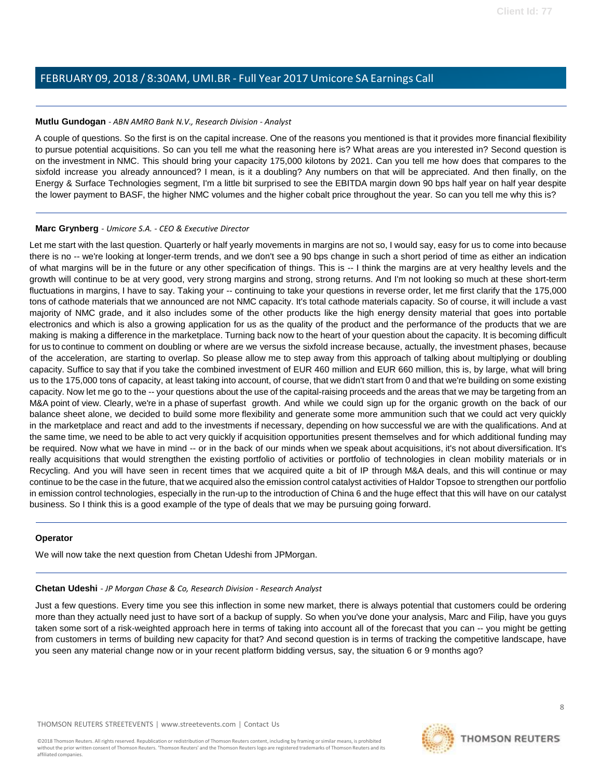#### <span id="page-7-1"></span>**Mutlu Gundogan** *- ABN AMRO Bank N.V., Research Division - Analyst*

A couple of questions. So the first is on the capital increase. One of the reasons you mentioned is that it provides more financial flexibility to pursue potential acquisitions. So can you tell me what the reasoning here is? What areas are you interested in? Second question is on the investment in NMC. This should bring your capacity 175,000 kilotons by 2021. Can you tell me how does that compares to the sixfold increase you already announced? I mean, is it a doubling? Any numbers on that will be appreciated. And then finally, on the Energy & Surface Technologies segment, I'm a little bit surprised to see the EBITDA margin down 90 bps half year on half year despite the lower payment to BASF, the higher NMC volumes and the higher cobalt price throughout the year. So can you tell me why this is?

#### **Marc Grynberg** *- Umicore S.A. - CEO & Executive Director*

Let me start with the last question. Quarterly or half yearly movements in margins are not so, I would say, easy for us to come into because there is no -- we're looking at longer-term trends, and we don't see a 90 bps change in such a short period of time as either an indication of what margins will be in the future or any other specification of things. This is -- I think the margins are at very healthy levels and the growth will continue to be at very good, very strong margins and strong, strong returns. And I'm not looking so much at these short-term fluctuations in margins, I have to say. Taking your -- continuing to take your questions in reverse order, let me first clarify that the 175,000 tons of cathode materials that we announced are not NMC capacity. It's total cathode materials capacity. So of course, it will include a vast majority of NMC grade, and it also includes some of the other products like the high energy density material that goes into portable electronics and which is also a growing application for us as the quality of the product and the performance of the products that we are making is making a difference in the marketplace. Turning back now to the heart of your question about the capacity. It is becoming difficult for us to continue to comment on doubling or where are we versus the sixfold increase because, actually, the investment phases, because of the acceleration, are starting to overlap. So please allow me to step away from this approach of talking about multiplying or doubling capacity. Suffice to say that if you take the combined investment of EUR 460 million and EUR 660 million, this is, by large, what will bring us to the 175,000 tons of capacity, at least taking into account, of course, that we didn't start from 0 and that we're building on some existing capacity. Now let me go to the -- your questions about the use of the capital-raising proceeds and the areas that we may be targeting from an M&A point of view. Clearly, we're in a phase of superfast growth. And while we could sign up for the organic growth on the back of our balance sheet alone, we decided to build some more flexibility and generate some more ammunition such that we could act very quickly in the marketplace and react and add to the investments if necessary, depending on how successful we are with the qualifications. And at the same time, we need to be able to act very quickly if acquisition opportunities present themselves and for which additional funding may be required. Now what we have in mind -- or in the back of our minds when we speak about acquisitions, it's not about diversification. It's really acquisitions that would strengthen the existing portfolio of activities or portfolio of technologies in clean mobility materials or in Recycling. And you will have seen in recent times that we acquired quite a bit of IP through M&A deals, and this will continue or may continue to be the case in the future, that we acquired also the emission control catalyst activities of Haldor Topsoe to strengthen our portfolio in emission control technologies, especially in the run-up to the introduction of China 6 and the huge effect that this will have on our catalyst business. So I think this is a good example of the type of deals that we may be pursuing going forward.

#### <span id="page-7-0"></span>**Operator**

We will now take the next question from Chetan Udeshi from JPMorgan.

#### **Chetan Udeshi** *- JP Morgan Chase & Co, Research Division - Research Analyst*

Just a few questions. Every time you see this inflection in some new market, there is always potential that customers could be ordering more than they actually need just to have sort of a backup of supply. So when you've done your analysis, Marc and Filip, have you guys taken some sort of a risk-weighted approach here in terms of taking into account all of the forecast that you can -- you might be getting from customers in terms of building new capacity for that? And second question is in terms of tracking the competitive landscape, have you seen any material change now or in your recent platform bidding versus, say, the situation 6 or 9 months ago?

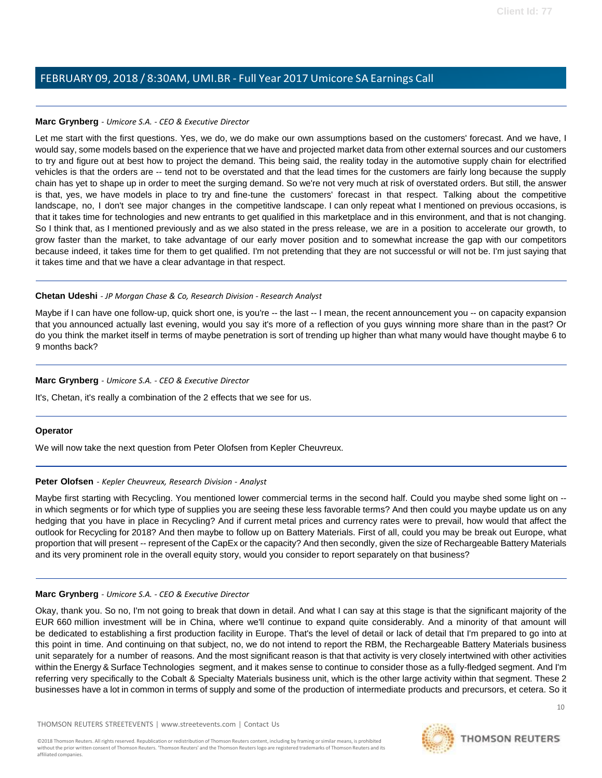#### **Marc Grynberg** *- Umicore S.A. - CEO & Executive Director*

Let me start with the first questions. Yes, we do, we do make our own assumptions based on the customers' forecast. And we have, I would say, some models based on the experience that we have and projected market data from other external sources and our customers to try and figure out at best how to project the demand. This being said, the reality today in the automotive supply chain for electrified vehicles is that the orders are -- tend not to be overstated and that the lead times for the customers are fairly long because the supply chain has yet to shape up in order to meet the surging demand. So we're not very much at risk of overstated orders. But still, the answer is that, yes, we have models in place to try and fine-tune the customers' forecast in that respect. Talking about the competitive landscape, no, I don't see major changes in the competitive landscape. I can only repeat what I mentioned on previous occasions, is that it takes time for technologies and new entrants to get qualified in this marketplace and in this environment, and that is not changing. So I think that, as I mentioned previously and as we also stated in the press release, we are in a position to accelerate our growth, to grow faster than the market, to take advantage of our early mover position and to somewhat increase the gap with our competitors because indeed, it takes time for them to get qualified. I'm not pretending that they are not successful or will not be. I'm just saying that it takes time and that we have a clear advantage in that respect.

#### **Chetan Udeshi** *- JP Morgan Chase & Co, Research Division - Research Analyst*

Maybe if I can have one follow-up, quick short one, is you're -- the last -- I mean, the recent announcement you -- on capacity expansion that you announced actually last evening, would you say it's more of a reflection of you guys winning more share than in the past? Or do you think the market itself in terms of maybe penetration is sort of trending up higher than what many would have thought maybe 6 to 9 months back?

#### **Marc Grynberg** *- Umicore S.A. - CEO & Executive Director*

It's, Chetan, it's really a combination of the 2 effects that we see for us.

#### <span id="page-8-0"></span>**Operator**

We will now take the next question from Peter Olofsen from Kepler Cheuvreux.

#### **Peter Olofsen** *- Kepler Cheuvreux, Research Division - Analyst*

Maybe first starting with Recycling. You mentioned lower commercial terms in the second half. Could you maybe shed some light on - in which segments or for which type of supplies you are seeing these less favorable terms? And then could you maybe update us on any hedging that you have in place in Recycling? And if current metal prices and currency rates were to prevail, how would that affect the outlook for Recycling for 2018? And then maybe to follow up on Battery Materials. First of all, could you may be break out Europe, what proportion that will present -- represent of the CapEx or the capacity? And then secondly, given the size of Rechargeable Battery Materials and its very prominent role in the overall equity story, would you consider to report separately on that business?

#### **Marc Grynberg** *- Umicore S.A. - CEO & Executive Director*

Okay, thank you. So no, I'm not going to break that down in detail. And what I can say at this stage is that the significant majority of the EUR 660 million investment will be in China, where we'll continue to expand quite considerably. And a minority of that amount will be dedicated to establishing a first production facility in Europe. That's the level of detail or lack of detail that I'm prepared to go into at this point in time. And continuing on that subject, no, we do not intend to report the RBM, the Rechargeable Battery Materials business unit separately for a number of reasons. And the most significant reason is that that activity is very closely intertwined with other activities within the Energy & Surface Technologies segment, and it makes sense to continue to consider those as a fully-fledged segment. And I'm referring very specifically to the Cobalt & Specialty Materials business unit, which is the other large activity within that segment. These 2 businesses have a lot in common in terms of supply and some of the production of intermediate products and precursors, et cetera. So it

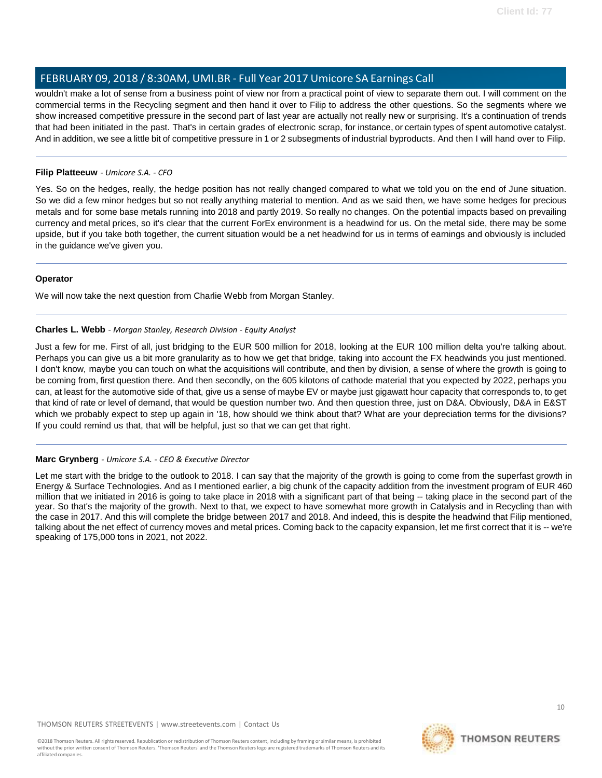wouldn't make a lot of sense from a business point of view nor from a practical point of view to separate them out. I will comment on the commercial terms in the Recycling segment and then hand it over to Filip to address the other questions. So the segments where we show increased competitive pressure in the second part of last year are actually not really new or surprising. It's a continuation of trends that had been initiated in the past. That's in certain grades of electronic scrap, for instance, or certain types of spent automotive catalyst. And in addition, we see a little bit of competitive pressure in 1 or 2 subsegments of industrial byproducts. And then I will hand over to Filip.

#### **Filip Platteeuw** *- Umicore S.A. - CFO*

Yes. So on the hedges, really, the hedge position has not really changed compared to what we told you on the end of June situation. So we did a few minor hedges but so not really anything material to mention. And as we said then, we have some hedges for precious metals and for some base metals running into 2018 and partly 2019. So really no changes. On the potential impacts based on prevailing currency and metal prices, so it's clear that the current ForEx environment is a headwind for us. On the metal side, there may be some upside, but if you take both together, the current situation would be a net headwind for us in terms of earnings and obviously is included in the guidance we've given you.

#### <span id="page-9-0"></span>**Operator**

We will now take the next question from Charlie Webb from Morgan Stanley.

#### **Charles L. Webb** *- Morgan Stanley, Research Division - Equity Analyst*

Just a few for me. First of all, just bridging to the EUR 500 million for 2018, looking at the EUR 100 million delta you're talking about. Perhaps you can give us a bit more granularity as to how we get that bridge, taking into account the FX headwinds you just mentioned. I don't know, maybe you can touch on what the acquisitions will contribute, and then by division, a sense of where the growth is going to be coming from, first question there. And then secondly, on the 605 kilotons of cathode material that you expected by 2022, perhaps you can, at least for the automotive side of that, give us a sense of maybe EV or maybe just gigawatt hour capacity that corresponds to, to get that kind of rate or level of demand, that would be question number two. And then question three, just on D&A. Obviously, D&A in E&ST which we probably expect to step up again in '18, how should we think about that? What are your depreciation terms for the divisions? If you could remind us that, that will be helpful, just so that we can get that right.

#### **Marc Grynberg** *- Umicore S.A. - CEO & Executive Director*

Let me start with the bridge to the outlook to 2018. I can say that the majority of the growth is going to come from the superfast growth in Energy & Surface Technologies. And as I mentioned earlier, a big chunk of the capacity addition from the investment program of EUR 460 million that we initiated in 2016 is going to take place in 2018 with a significant part of that being -- taking place in the second part of the year. So that's the majority of the growth. Next to that, we expect to have somewhat more growth in Catalysis and in Recycling than with the case in 2017. And this will complete the bridge between 2017 and 2018. And indeed, this is despite the headwind that Filip mentioned, talking about the net effect of currency moves and metal prices. Coming back to the capacity expansion, let me first correct that it is -- we're speaking of 175,000 tons in 2021, not 2022.

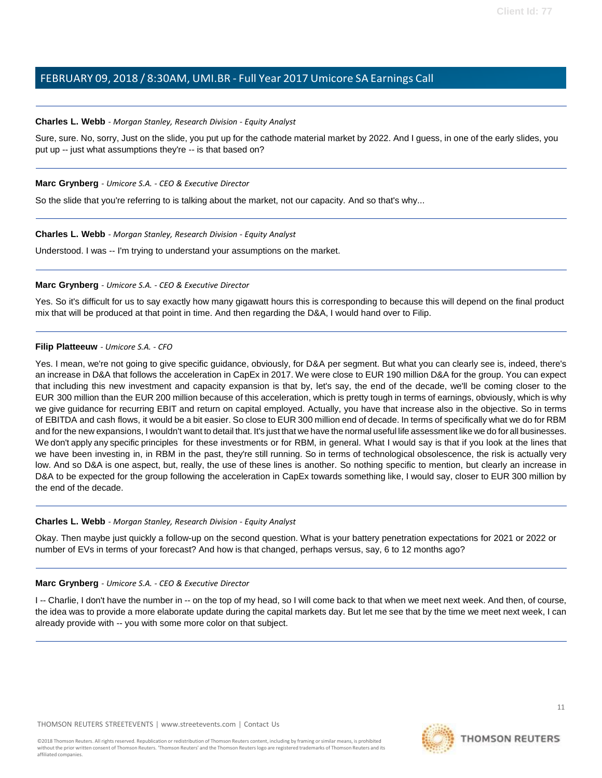#### **Charles L. Webb** *- Morgan Stanley, Research Division - Equity Analyst*

Sure, sure. No, sorry, Just on the slide, you put up for the cathode material market by 2022. And I guess, in one of the early slides, you put up -- just what assumptions they're -- is that based on?

#### **Marc Grynberg** *- Umicore S.A. - CEO & Executive Director*

So the slide that you're referring to is talking about the market, not our capacity. And so that's why...

#### **Charles L. Webb** *- Morgan Stanley, Research Division - Equity Analyst*

Understood. I was -- I'm trying to understand your assumptions on the market.

#### **Marc Grynberg** *- Umicore S.A. - CEO & Executive Director*

Yes. So it's difficult for us to say exactly how many gigawatt hours this is corresponding to because this will depend on the final product mix that will be produced at that point in time. And then regarding the D&A, I would hand over to Filip.

#### **Filip Platteeuw** *- Umicore S.A. - CFO*

Yes. I mean, we're not going to give specific guidance, obviously, for D&A per segment. But what you can clearly see is, indeed, there's an increase in D&A that follows the acceleration in CapEx in 2017. We were close to EUR 190 million D&A for the group. You can expect that including this new investment and capacity expansion is that by, let's say, the end of the decade, we'll be coming closer to the EUR 300 million than the EUR 200 million because of this acceleration, which is pretty tough in terms of earnings, obviously, which is why we give guidance for recurring EBIT and return on capital employed. Actually, you have that increase also in the objective. So in terms of EBITDA and cash flows, it would be a bit easier. So close to EUR 300 million end of decade. In terms of specifically what we do for RBM and for the new expansions, I wouldn't want to detail that. It's just that we have the normal useful life assessment like we do for all businesses. We don't apply any specific principles for these investments or for RBM, in general. What I would say is that if you look at the lines that we have been investing in, in RBM in the past, they're still running. So in terms of technological obsolescence, the risk is actually very low. And so D&A is one aspect, but, really, the use of these lines is another. So nothing specific to mention, but clearly an increase in D&A to be expected for the group following the acceleration in CapEx towards something like, I would say, closer to EUR 300 million by the end of the decade.

#### **Charles L. Webb** *- Morgan Stanley, Research Division - Equity Analyst*

Okay. Then maybe just quickly a follow-up on the second question. What is your battery penetration expectations for 2021 or 2022 or number of EVs in terms of your forecast? And how is that changed, perhaps versus, say, 6 to 12 months ago?

#### **Marc Grynberg** *- Umicore S.A. - CEO & Executive Director*

I -- Charlie, I don't have the number in -- on the top of my head, so I will come back to that when we meet next week. And then, of course, the idea was to provide a more elaborate update during the capital markets day. But let me see that by the time we meet next week, I can already provide with -- you with some more color on that subject.

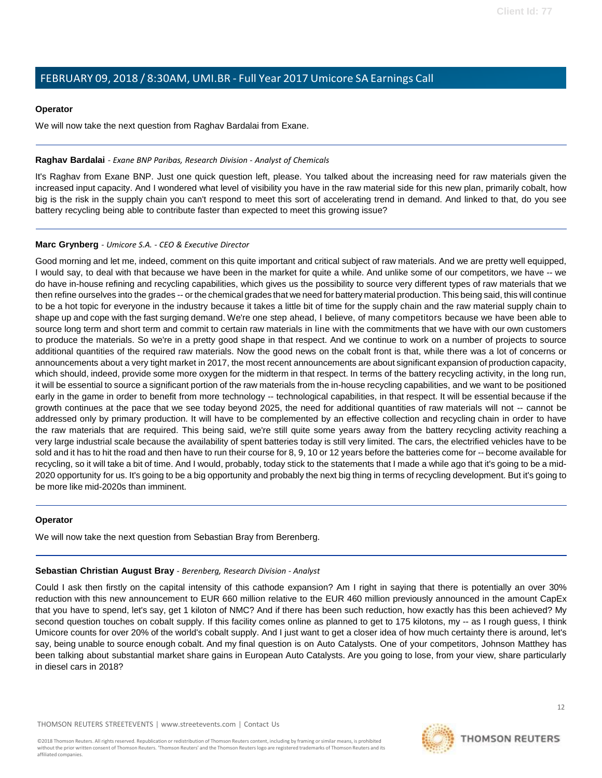#### **Operator**

We will now take the next question from Raghav Bardalai from Exane.

#### <span id="page-11-0"></span>**Raghav Bardalai** *- Exane BNP Paribas, Research Division - Analyst of Chemicals*

It's Raghav from Exane BNP. Just one quick question left, please. You talked about the increasing need for raw materials given the increased input capacity. And I wondered what level of visibility you have in the raw material side for this new plan, primarily cobalt, how big is the risk in the supply chain you can't respond to meet this sort of accelerating trend in demand. And linked to that, do you see battery recycling being able to contribute faster than expected to meet this growing issue?

#### **Marc Grynberg** *- Umicore S.A. - CEO & Executive Director*

Good morning and let me, indeed, comment on this quite important and critical subject of raw materials. And we are pretty well equipped, I would say, to deal with that because we have been in the market for quite a while. And unlike some of our competitors, we have -- we do have in-house refining and recycling capabilities, which gives us the possibility to source very different types of raw materials that we then refine ourselves into the grades -- orthe chemical grades that we need for battery material production. This being said, this will continue to be a hot topic for everyone in the industry because it takes a little bit of time for the supply chain and the raw material supply chain to shape up and cope with the fast surging demand. We're one step ahead, I believe, of many competitors because we have been able to source long term and short term and commit to certain raw materials in line with the commitments that we have with our own customers to produce the materials. So we're in a pretty good shape in that respect. And we continue to work on a number of projects to source additional quantities of the required raw materials. Now the good news on the cobalt front is that, while there was a lot of concerns or announcements about a very tight market in 2017, the most recent announcements are about significant expansion of production capacity, which should, indeed, provide some more oxygen for the midterm in that respect. In terms of the battery recycling activity, in the long run, it will be essential to source a significant portion of the raw materials from the in-house recycling capabilities, and we want to be positioned early in the game in order to benefit from more technology -- technological capabilities, in that respect. It will be essential because if the growth continues at the pace that we see today beyond 2025, the need for additional quantities of raw materials will not -- cannot be addressed only by primary production. It will have to be complemented by an effective collection and recycling chain in order to have the raw materials that are required. This being said, we're still quite some years away from the battery recycling activity reaching a very large industrial scale because the availability of spent batteries today is still very limited. The cars, the electrified vehicles have to be sold and it has to hit the road and then have to run their course for 8, 9, 10 or 12 years before the batteries come for -- become available for recycling, so it will take a bit of time. And I would, probably, today stick to the statements that I made a while ago that it's going to be a mid-2020 opportunity for us. It's going to be a big opportunity and probably the next big thing in terms of recycling development. But it's going to be more like mid-2020s than imminent.

#### <span id="page-11-1"></span>**Operator**

We will now take the next question from Sebastian Bray from Berenberg.

#### **Sebastian Christian August Bray** *- Berenberg, Research Division - Analyst*

Could I ask then firstly on the capital intensity of this cathode expansion? Am I right in saying that there is potentially an over 30% reduction with this new announcement to EUR 660 million relative to the EUR 460 million previously announced in the amount CapEx that you have to spend, let's say, get 1 kiloton of NMC? And if there has been such reduction, how exactly has this been achieved? My second question touches on cobalt supply. If this facility comes online as planned to get to 175 kilotons, my -- as I rough guess, I think Umicore counts for over 20% of the world's cobalt supply. And I just want to get a closer idea of how much certainty there is around, let's say, being unable to source enough cobalt. And my final question is on Auto Catalysts. One of your competitors, Johnson Matthey has been talking about substantial market share gains in European Auto Catalysts. Are you going to lose, from your view, share particularly in diesel cars in 2018?

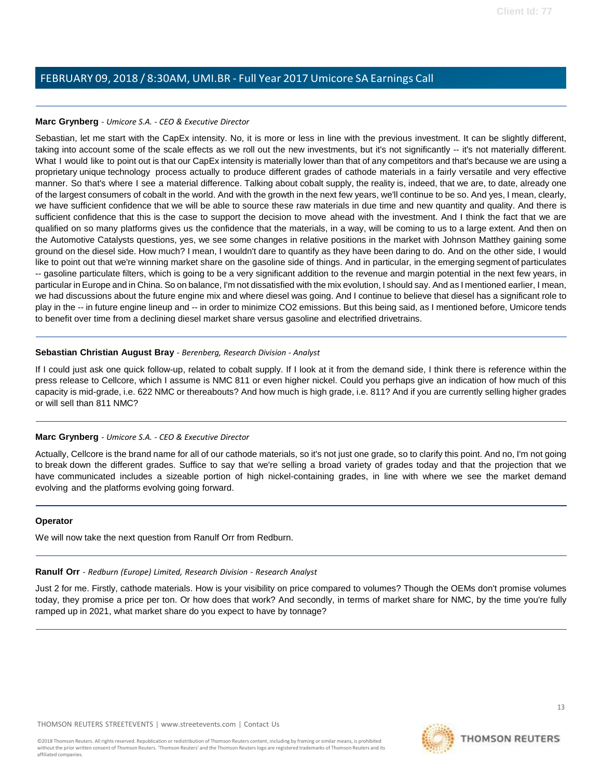#### **Marc Grynberg** *- Umicore S.A. - CEO & Executive Director*

Sebastian, let me start with the CapEx intensity. No, it is more or less in line with the previous investment. It can be slightly different, taking into account some of the scale effects as we roll out the new investments, but it's not significantly -- it's not materially different. What I would like to point out is that our CapEx intensity is materially lower than that of any competitors and that's because we are using a proprietary unique technology process actually to produce different grades of cathode materials in a fairly versatile and very effective manner. So that's where I see a material difference. Talking about cobalt supply, the reality is, indeed, that we are, to date, already one of the largest consumers of cobalt in the world. And with the growth in the next few years, we'll continue to be so. And yes, I mean, clearly, we have sufficient confidence that we will be able to source these raw materials in due time and new quantity and quality. And there is sufficient confidence that this is the case to support the decision to move ahead with the investment. And I think the fact that we are qualified on so many platforms gives us the confidence that the materials, in a way, will be coming to us to a large extent. And then on the Automotive Catalysts questions, yes, we see some changes in relative positions in the market with Johnson Matthey gaining some ground on the diesel side. How much? I mean, I wouldn't dare to quantify as they have been daring to do. And on the other side, I would like to point out that we're winning market share on the gasoline side of things. And in particular, in the emerging segment of particulates -- gasoline particulate filters, which is going to be a very significant addition to the revenue and margin potential in the next few years, in particular in Europe and in China. So on balance, I'm not dissatisfied with the mix evolution, I should say. And as I mentioned earlier, I mean, we had discussions about the future engine mix and where diesel was going. And I continue to believe that diesel has a significant role to play in the -- in future engine lineup and -- in order to minimize CO2 emissions. But this being said, as I mentioned before, Umicore tends to benefit over time from a declining diesel market share versus gasoline and electrified drivetrains.

#### **Sebastian Christian August Bray** *- Berenberg, Research Division - Analyst*

If I could just ask one quick follow-up, related to cobalt supply. If I look at it from the demand side, I think there is reference within the press release to Cellcore, which I assume is NMC 811 or even higher nickel. Could you perhaps give an indication of how much of this capacity is mid-grade, i.e. 622 NMC or thereabouts? And how much is high grade, i.e. 811? And if you are currently selling higher grades or will sell than 811 NMC?

#### **Marc Grynberg** *- Umicore S.A. - CEO & Executive Director*

Actually, Cellcore is the brand name for all of our cathode materials, so it's not just one grade, so to clarify this point. And no, I'm not going to break down the different grades. Suffice to say that we're selling a broad variety of grades today and that the projection that we have communicated includes a sizeable portion of high nickel-containing grades, in line with where we see the market demand evolving and the platforms evolving going forward.

#### <span id="page-12-0"></span>**Operator**

We will now take the next question from Ranulf Orr from Redburn.

### **Ranulf Orr** *- Redburn (Europe) Limited, Research Division - Research Analyst*

Just 2 for me. Firstly, cathode materials. How is your visibility on price compared to volumes? Though the OEMs don't promise volumes today, they promise a price per ton. Or how does that work? And secondly, in terms of market share for NMC, by the time you're fully ramped up in 2021, what market share do you expect to have by tonnage?



13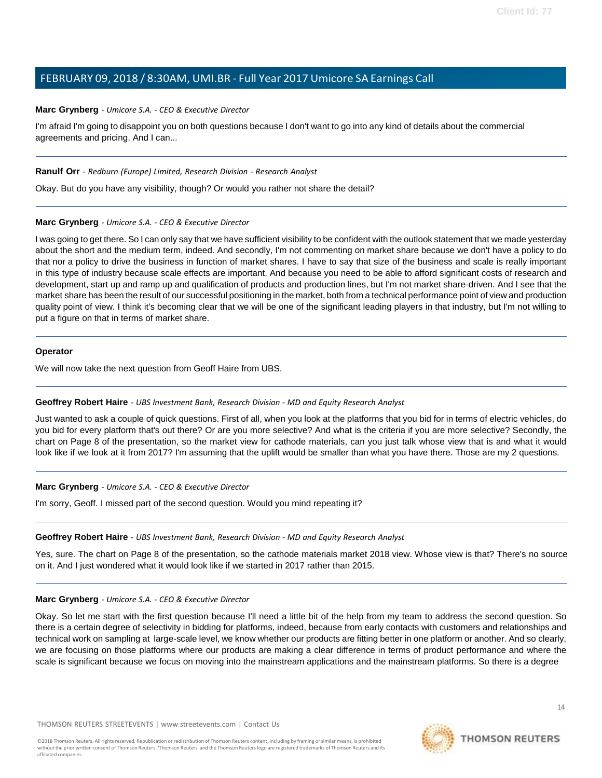#### **Marc Grynberg** *- Umicore S.A. - CEO & Executive Director*

I'm afraid I'm going to disappoint you on both questions because I don't want to go into any kind of details about the commercial agreements and pricing. And I can...

#### **Ranulf Orr** *- Redburn (Europe) Limited, Research Division - Research Analyst*

Okay. But do you have any visibility, though? Or would you rather not share the detail?

#### **Marc Grynberg** *- Umicore S.A. - CEO & Executive Director*

I was going to get there. So I can only say that we have sufficient visibility to be confident with the outlook statement that we made yesterday about the short and the medium term, indeed. And secondly, I'm not commenting on market share because we don't have a policy to do that nor a policy to drive the business in function of market shares. I have to say that size of the business and scale is really important in this type of industry because scale effects are important. And because you need to be able to afford significant costs of research and development, start up and ramp up and qualification of products and production lines, but I'm not market share-driven. And I see that the market share has been the result of our successful positioning in the market, both from a technical performance point of view and production quality point of view. I think it's becoming clear that we will be one of the significant leading players in that industry, but I'm not willing to put a figure on that in terms of market share.

#### **Operator**

<span id="page-13-0"></span>We will now take the next question from Geoff Haire from UBS.

#### **Geoffrey Robert Haire** *- UBS Investment Bank, Research Division - MD and Equity Research Analyst*

Just wanted to ask a couple of quick questions. First of all, when you look at the platforms that you bid for in terms of electric vehicles, do you bid for every platform that's out there? Or are you more selective? And what is the criteria if you are more selective? Secondly, the chart on Page 8 of the presentation, so the market view for cathode materials, can you just talk whose view that is and what it would look like if we look at it from 2017? I'm assuming that the uplift would be smaller than what you have there. Those are my 2 questions.

#### **Marc Grynberg** *- Umicore S.A. - CEO & Executive Director*

I'm sorry, Geoff. I missed part of the second question. Would you mind repeating it?

#### **Geoffrey Robert Haire** *- UBS Investment Bank, Research Division - MD and Equity Research Analyst*

Yes, sure. The chart on Page 8 of the presentation, so the cathode materials market 2018 view. Whose view is that? There's no source on it. And I just wondered what it would look like if we started in 2017 rather than 2015.

#### **Marc Grynberg** *- Umicore S.A. - CEO & Executive Director*

Okay. So let me start with the first question because I'll need a little bit of the help from my team to address the second question. So there is a certain degree of selectivity in bidding for platforms, indeed, because from early contacts with customers and relationships and technical work on sampling at large-scale level, we know whether our products are fitting better in one platform or another. And so clearly, we are focusing on those platforms where our products are making a clear difference in terms of product performance and where the scale is significant because we focus on moving into the mainstream applications and the mainstream platforms. So there is a degree

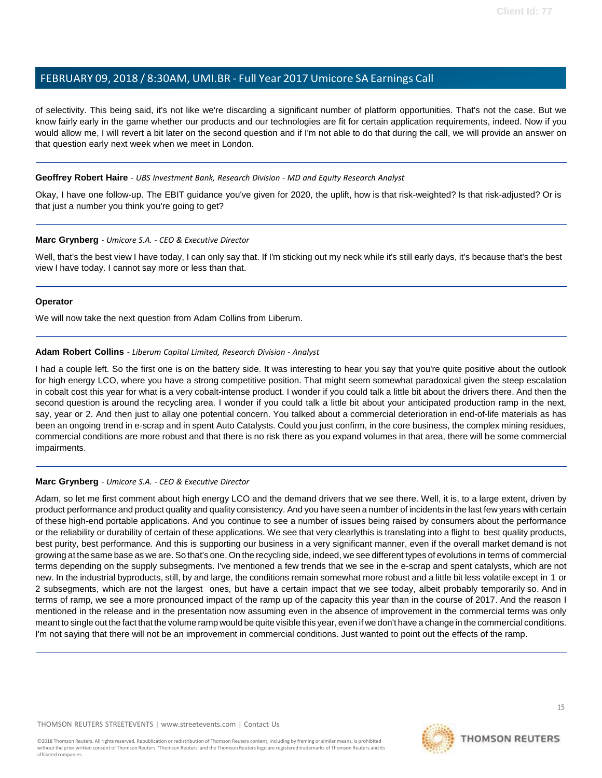of selectivity. This being said, it's not like we're discarding a significant number of platform opportunities. That's not the case. But we know fairly early in the game whether our products and our technologies are fit for certain application requirements, indeed. Now if you would allow me, I will revert a bit later on the second question and if I'm not able to do that during the call, we will provide an answer on that question early next week when we meet in London.

#### **Geoffrey Robert Haire** *- UBS Investment Bank, Research Division - MD and Equity Research Analyst*

Okay, I have one follow-up. The EBIT guidance you've given for 2020, the uplift, how is that risk-weighted? Is that risk-adjusted? Or is that just a number you think you're going to get?

#### **Marc Grynberg** *- Umicore S.A. - CEO & Executive Director*

Well, that's the best view I have today, I can only say that. If I'm sticking out my neck while it's still early days, it's because that's the best view I have today. I cannot say more or less than that.

#### **Operator**

<span id="page-14-0"></span>We will now take the next question from Adam Collins from Liberum.

#### **Adam Robert Collins** *- Liberum Capital Limited, Research Division - Analyst*

I had a couple left. So the first one is on the battery side. It was interesting to hear you say that you're quite positive about the outlook for high energy LCO, where you have a strong competitive position. That might seem somewhat paradoxical given the steep escalation in cobalt cost this year for what is a very cobalt-intense product. I wonder if you could talk a little bit about the drivers there. And then the second question is around the recycling area. I wonder if you could talk a little bit about your anticipated production ramp in the next, say, year or 2. And then just to allay one potential concern. You talked about a commercial deterioration in end-of-life materials as has been an ongoing trend in e-scrap and in spent Auto Catalysts. Could you just confirm, in the core business, the complex mining residues, commercial conditions are more robust and that there is no risk there as you expand volumes in that area, there will be some commercial impairments.

#### **Marc Grynberg** *- Umicore S.A. - CEO & Executive Director*

Adam, so let me first comment about high energy LCO and the demand drivers that we see there. Well, it is, to a large extent, driven by product performance and product quality and quality consistency. And you have seen a number of incidents in the last few years with certain of these high-end portable applications. And you continue to see a number of issues being raised by consumers about the performance or the reliability or durability of certain of these applications. We see that very clearlythis is translating into a flight to best quality products, best purity, best performance. And this is supporting our business in a very significant manner, even if the overall market demand is not growing at the same base as we are. So that's one. On the recycling side, indeed, we see different types of evolutions in terms of commercial terms depending on the supply subsegments. I've mentioned a few trends that we see in the e-scrap and spent catalysts, which are not new. In the industrial byproducts, still, by and large, the conditions remain somewhat more robust and a little bit less volatile except in 1 or 2 subsegments, which are not the largest ones, but have a certain impact that we see today, albeit probably temporarily so. And in terms of ramp, we see a more pronounced impact of the ramp up of the capacity this year than in the course of 2017. And the reason I mentioned in the release and in the presentation now assuming even in the absence of improvement in the commercial terms was only meant to single out the fact that the volume ramp would be quite visible this year, even if we don't have a change in the commercial conditions. I'm not saying that there will not be an improvement in commercial conditions. Just wanted to point out the effects of the ramp.

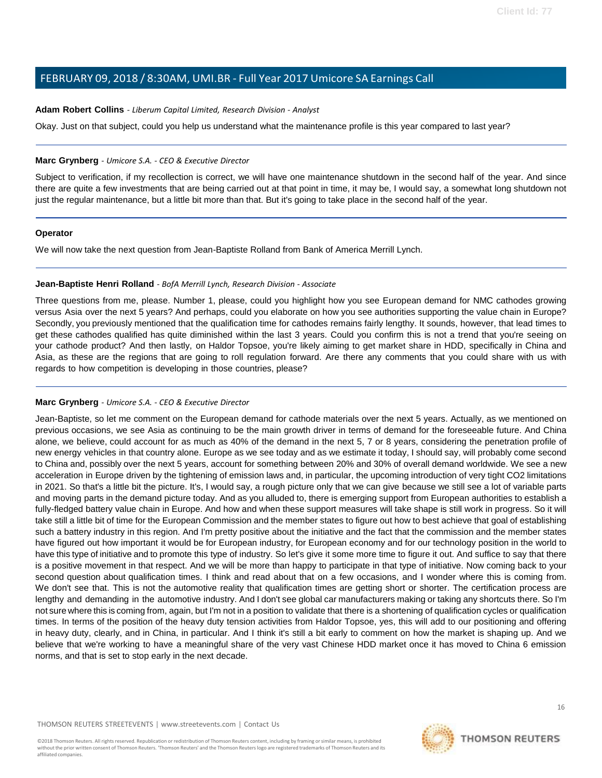#### **Adam Robert Collins** *- Liberum Capital Limited, Research Division - Analyst*

Okay. Just on that subject, could you help us understand what the maintenance profile is this year compared to last year?

#### **Marc Grynberg** *- Umicore S.A. - CEO & Executive Director*

Subject to verification, if my recollection is correct, we will have one maintenance shutdown in the second half of the year. And since there are quite a few investments that are being carried out at that point in time, it may be, I would say, a somewhat long shutdown not just the regular maintenance, but a little bit more than that. But it's going to take place in the second half of the year.

#### **Operator**

<span id="page-15-0"></span>We will now take the next question from Jean-Baptiste Rolland from Bank of America Merrill Lynch.

#### **Jean-Baptiste Henri Rolland** *- BofA Merrill Lynch, Research Division - Associate*

Three questions from me, please. Number 1, please, could you highlight how you see European demand for NMC cathodes growing versus Asia over the next 5 years? And perhaps, could you elaborate on how you see authorities supporting the value chain in Europe? Secondly, you previously mentioned that the qualification time for cathodes remains fairly lengthy. It sounds, however, that lead times to get these cathodes qualified has quite diminished within the last 3 years. Could you confirm this is not a trend that you're seeing on your cathode product? And then lastly, on Haldor Topsoe, you're likely aiming to get market share in HDD, specifically in China and Asia, as these are the regions that are going to roll regulation forward. Are there any comments that you could share with us with regards to how competition is developing in those countries, please?

#### **Marc Grynberg** *- Umicore S.A. - CEO & Executive Director*

Jean-Baptiste, so let me comment on the European demand for cathode materials over the next 5 years. Actually, as we mentioned on previous occasions, we see Asia as continuing to be the main growth driver in terms of demand for the foreseeable future. And China alone, we believe, could account for as much as 40% of the demand in the next 5, 7 or 8 years, considering the penetration profile of new energy vehicles in that country alone. Europe as we see today and as we estimate it today, I should say, will probably come second to China and, possibly over the next 5 years, account for something between 20% and 30% of overall demand worldwide. We see a new acceleration in Europe driven by the tightening of emission laws and, in particular, the upcoming introduction of very tight CO2 limitations in 2021. So that's a little bit the picture. It's, I would say, a rough picture only that we can give because we still see a lot of variable parts and moving parts in the demand picture today. And as you alluded to, there is emerging support from European authorities to establish a fully-fledged battery value chain in Europe. And how and when these support measures will take shape is still work in progress. So it will take still a little bit of time for the European Commission and the member states to figure out how to best achieve that goal of establishing such a battery industry in this region. And I'm pretty positive about the initiative and the fact that the commission and the member states have figured out how important it would be for European industry, for European economy and for our technology position in the world to have this type of initiative and to promote this type of industry. So let's give it some more time to figure it out. And suffice to say that there is a positive movement in that respect. And we will be more than happy to participate in that type of initiative. Now coming back to your second question about qualification times. I think and read about that on a few occasions, and I wonder where this is coming from. We don't see that. This is not the automotive reality that qualification times are getting short or shorter. The certification process are lengthy and demanding in the automotive industry. And I don't see global car manufacturers making or taking any shortcuts there. So I'm not sure where this is coming from, again, but I'm not in a position to validate that there is a shortening of qualification cycles or qualification times. In terms of the position of the heavy duty tension activities from Haldor Topsoe, yes, this will add to our positioning and offering in heavy duty, clearly, and in China, in particular. And I think it's still a bit early to comment on how the market is shaping up. And we believe that we're working to have a meaningful share of the very vast Chinese HDD market once it has moved to China 6 emission norms, and that is set to stop early in the next decade.

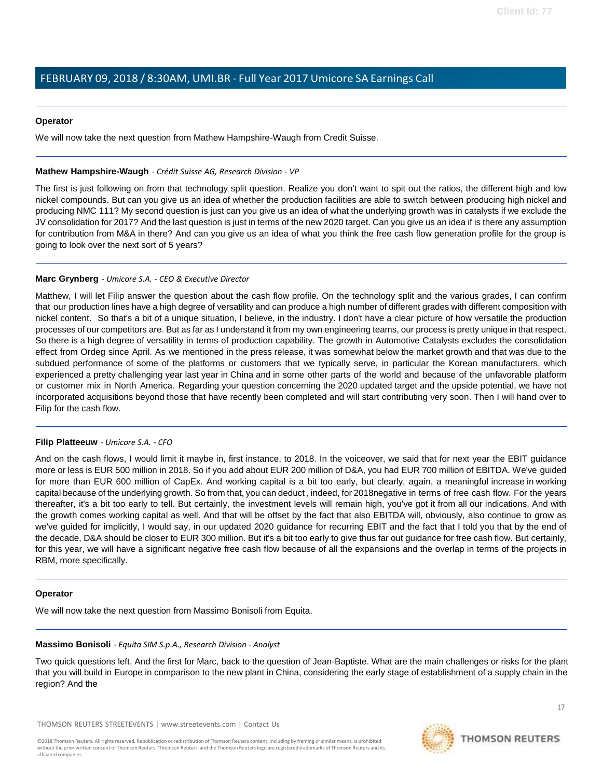#### **Operator**

We will now take the next question from Mathew Hampshire-Waugh from Credit Suisse.

#### <span id="page-16-1"></span>**Mathew Hampshire-Waugh** *- Crédit Suisse AG, Research Division - VP*

The first is just following on from that technology split question. Realize you don't want to spit out the ratios, the different high and low nickel compounds. But can you give us an idea of whether the production facilities are able to switch between producing high nickel and producing NMC 111? My second question is just can you give us an idea of what the underlying growth was in catalysts if we exclude the JV consolidation for 2017? And the last question is just in terms of the new 2020 target. Can you give us an idea if is there any assumption for contribution from M&A in there? And can you give us an idea of what you think the free cash flow generation profile for the group is going to look over the next sort of 5 years?

#### **Marc Grynberg** *- Umicore S.A. - CEO & Executive Director*

Matthew, I will let Filip answer the question about the cash flow profile. On the technology split and the various grades, I can confirm that our production lines have a high degree of versatility and can produce a high number of different grades with different composition with nickel content. So that's a bit of a unique situation, I believe, in the industry. I don't have a clear picture of how versatile the production processes of our competitors are. But as far as I understand it from my own engineering teams, our process is pretty unique in that respect. So there is a high degree of versatility in terms of production capability. The growth in Automotive Catalysts excludes the consolidation effect from Ordeg since April. As we mentioned in the press release, it was somewhat below the market growth and that was due to the subdued performance of some of the platforms or customers that we typically serve, in particular the Korean manufacturers, which experienced a pretty challenging year last year in China and in some other parts of the world and because of the unfavorable platform or customer mix in North America. Regarding your question concerning the 2020 updated target and the upside potential, we have not incorporated acquisitions beyond those that have recently been completed and will start contributing very soon. Then I will hand over to Filip for the cash flow.

#### **Filip Platteeuw** *- Umicore S.A. - CFO*

And on the cash flows, I would limit it maybe in, first instance, to 2018. In the voiceover, we said that for next year the EBIT guidance more or less is EUR 500 million in 2018. So if you add about EUR 200 million of D&A, you had EUR 700 million of EBITDA. We've guided for more than EUR 600 million of CapEx. And working capital is a bit too early, but clearly, again, a meaningful increase in working capital because of the underlying growth. So from that, you can deduct , indeed, for 2018negative in terms of free cash flow. For the years thereafter, it's a bit too early to tell. But certainly, the investment levels will remain high, you've got it from all our indications. And with the growth comes working capital as well. And that will be offset by the fact that also EBITDA will, obviously, also continue to grow as we've guided for implicitly, I would say, in our updated 2020 guidance for recurring EBIT and the fact that I told you that by the end of the decade, D&A should be closer to EUR 300 million. But it's a bit too early to give thus far out guidance for free cash flow. But certainly, for this year, we will have a significant negative free cash flow because of all the expansions and the overlap in terms of the projects in RBM, more specifically.

#### <span id="page-16-0"></span>**Operator**

We will now take the next question from Massimo Bonisoli from Equita.

#### **Massimo Bonisoli** *- Equita SIM S.p.A., Research Division - Analyst*

Two quick questions left. And the first for Marc, back to the question of Jean-Baptiste. What are the main challenges or risks for the plant that you will build in Europe in comparison to the new plant in China, considering the early stage of establishment of a supply chain in the region? And the

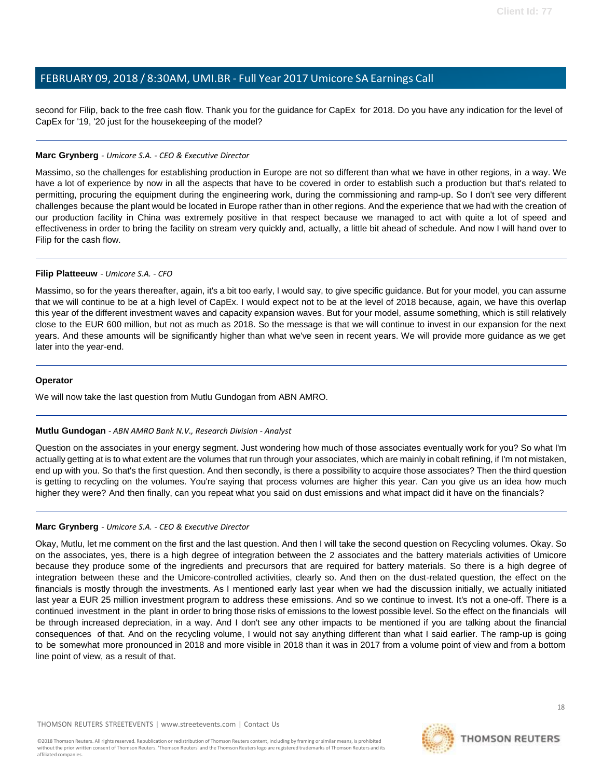second for Filip, back to the free cash flow. Thank you for the guidance for CapEx for 2018. Do you have any indication for the level of CapEx for '19, '20 just for the housekeeping of the model?

#### **Marc Grynberg** *- Umicore S.A. - CEO & Executive Director*

Massimo, so the challenges for establishing production in Europe are not so different than what we have in other regions, in a way. We have a lot of experience by now in all the aspects that have to be covered in order to establish such a production but that's related to permitting, procuring the equipment during the engineering work, during the commissioning and ramp-up. So I don't see very different challenges because the plant would be located in Europe rather than in other regions. And the experience that we had with the creation of our production facility in China was extremely positive in that respect because we managed to act with quite a lot of speed and effectiveness in order to bring the facility on stream very quickly and, actually, a little bit ahead of schedule. And now I will hand over to Filip for the cash flow.

#### **Filip Platteeuw** *- Umicore S.A. - CFO*

Massimo, so for the years thereafter, again, it's a bit too early, I would say, to give specific guidance. But for your model, you can assume that we will continue to be at a high level of CapEx. I would expect not to be at the level of 2018 because, again, we have this overlap this year of the different investment waves and capacity expansion waves. But for your model, assume something, which is still relatively close to the EUR 600 million, but not as much as 2018. So the message is that we will continue to invest in our expansion for the next years. And these amounts will be significantly higher than what we've seen in recent years. We will provide more guidance as we get later into the year-end.

#### **Operator**

We will now take the last question from Mutlu Gundogan from ABN AMRO.

#### **Mutlu Gundogan** *- ABN AMRO Bank N.V., Research Division - Analyst*

Question on the associates in your energy segment. Just wondering how much of those associates eventually work for you? So what I'm actually getting at is to what extent are the volumes that run through your associates, which are mainly in cobalt refining, if I'm not mistaken, end up with you. So that's the first question. And then secondly, is there a possibility to acquire those associates? Then the third question is getting to recycling on the volumes. You're saying that process volumes are higher this year. Can you give us an idea how much higher they were? And then finally, can you repeat what you said on dust emissions and what impact did it have on the financials?

#### **Marc Grynberg** *- Umicore S.A. - CEO & Executive Director*

Okay, Mutlu, let me comment on the first and the last question. And then I will take the second question on Recycling volumes. Okay. So on the associates, yes, there is a high degree of integration between the 2 associates and the battery materials activities of Umicore because they produce some of the ingredients and precursors that are required for battery materials. So there is a high degree of integration between these and the Umicore-controlled activities, clearly so. And then on the dust-related question, the effect on the financials is mostly through the investments. As I mentioned early last year when we had the discussion initially, we actually initiated last year a EUR 25 million investment program to address these emissions. And so we continue to invest. It's not a one-off. There is a continued investment in the plant in order to bring those risks of emissions to the lowest possible level. So the effect on the financials will be through increased depreciation, in a way. And I don't see any other impacts to be mentioned if you are talking about the financial consequences of that. And on the recycling volume, I would not say anything different than what I said earlier. The ramp-up is going to be somewhat more pronounced in 2018 and more visible in 2018 than it was in 2017 from a volume point of view and from a bottom line point of view, as a result of that.